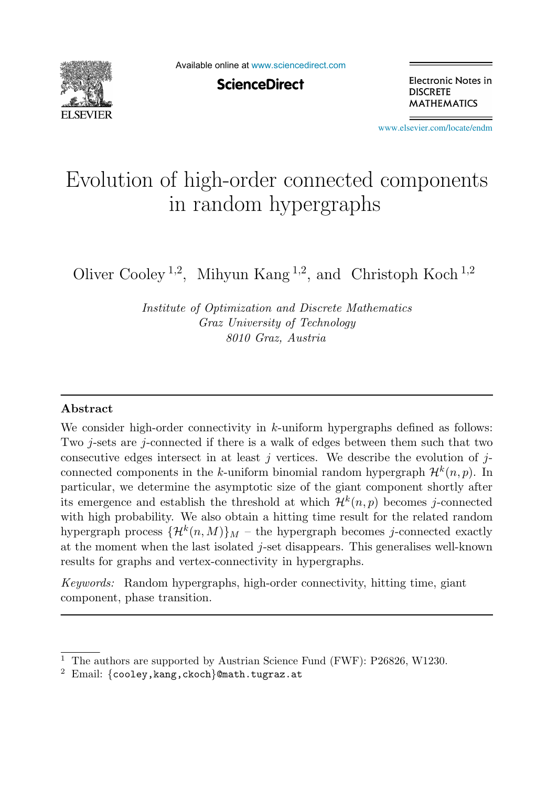

Available online at [www.sciencedirect.com](http://www.sciencedirect.com)

**ScienceDirect** 

Electronic Notes in **DISCRETE MATHEMATICS** 

[www.elsevier.com/locate/endm](http://www.elsevier.com/locate/endm)

# Evolution of high-order connected components in random hypergraphs

Oliver Cooley<sup>1,2</sup>, Mihyun Kang<sup>1,2</sup>, and Christoph Koch<sup>1,2</sup>

Institute of Optimization and Discrete Mathematics Graz University of Technology 8010 Graz, Austria

## **Abstract**

We consider high-order connectivity in  $k$ -uniform hypergraphs defined as follows: Two j-sets are j-connected if there is a walk of edges between them such that two consecutive edges intersect in at least j vertices. We describe the evolution of  $j$ connected components in the k-uniform binomial random hypergraph  $\mathcal{H}^k(n, p)$ . In particular, we determine the asymptotic size of the giant component shortly after its emergence and establish the threshold at which  $\mathcal{H}^k(n,p)$  becomes j-connected with high probability. We also obtain a hitting time result for the related random hypergraph process  $\{\mathcal{H}^k(n,M)\}\$ <sub>M</sub> – the hypergraph becomes j-connected exactly at the moment when the last isolated j-set disappears. This generalises well-known results for graphs and vertex-connectivity in hypergraphs.

Keywords: Random hypergraphs, high-order connectivity, hitting time, giant component, phase transition.

<sup>&</sup>lt;sup>1</sup> The authors are supported by Austrian Science Fund (FWF): P26826, W1230.<br><sup>2</sup> Email: {cooley,kang,ckoch}@math.tugraz.at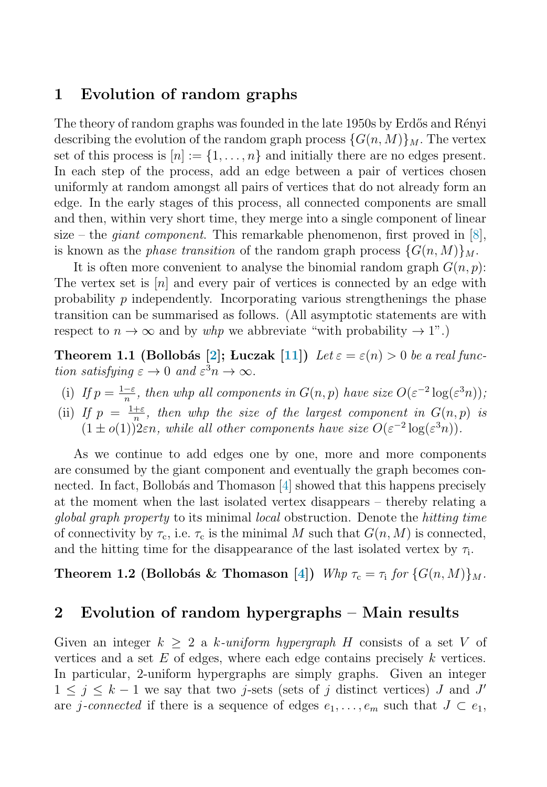## <span id="page-1-0"></span>**1 Evolution of random graphs**

The theory of random graphs was founded in the late 1950s by Erdős and Rényi describing the evolution of the random graph process  $\{G(n, M)\}\$ <sub>M</sub>. The vertex set of this process is  $[n] := \{1, \ldots, n\}$  and initially there are no edges present. In each step of the process, add an edge between a pair of vertices chosen uniformly at random amongst all pairs of vertices that do not already form an edge. In the early stages of this process, all connected components are small and then, within very short time, they merge into a single component of linear size – the *giant component*. This remarkable phenomenon, first proved in [\[8\]](#page-6-0), is known as the *phase transition* of the random graph process  $\{G(n, M)\}_{M}$ .

It is often more convenient to analyse the binomial random graph  $G(n, p)$ : The vertex set is  $[n]$  and every pair of vertices is connected by an edge with probability  $p$  independently. Incorporating various strengthenings the phase transition can be summarised as follows. (All asymptotic statements are with respect to  $n \to \infty$  and by whp we abbreviate "with probability  $\to 1$ ".)

**Theorem 1.1 (Bollobás [\[2\]](#page-5-0); Luczak [\[11\]](#page-6-0))** Let  $\varepsilon = \varepsilon(n) > 0$  be a real function satisfying  $\varepsilon \to 0$  and  $\varepsilon^3 n \to \infty$ .

- (i) If  $p = \frac{1-\varepsilon}{n}$ , then whp all components in  $G(n, p)$  have size  $O(\varepsilon^{-2} \log(\varepsilon^3 n))$ ;
- (ii) If  $p = \frac{1+\varepsilon}{n}$ , then whp the size of the largest component in  $G(n, p)$  is  $(1 \pm o(1))$ <sup>n</sup>/<sub>2</sub>*εn, while all other components have size*  $O(\varepsilon^{-2} \log(\varepsilon^3 n))$ .

As we continue to add edges one by one, more and more components are consumed by the giant component and eventually the graph becomes connected. In fact, Bollobás and Thomason  $|4|$  showed that this happens precisely at the moment when the last isolated vertex disappears – thereby relating a global graph property to its minimal local obstruction. Denote the hitting time of connectivity by  $\tau_c$ , i.e.  $\tau_c$  is the minimal M such that  $G(n, M)$  is connected, and the hitting time for the disappearance of the last isolated vertex by  $\tau_i$ .

**Theorem 1.2 (Bollobás & Thomason [\[4\]](#page-5-0))** Whp  $\tau_c = \tau_i$  for  $\{G(n, M)\}\$ 

## **2 Evolution of random hypergraphs – Main results**

Given an integer  $k \geq 2$  a k-uniform hypergraph H consists of a set V of vertices and a set  $E$  of edges, where each edge contains precisely  $k$  vertices. In particular, 2-uniform hypergraphs are simply graphs. Given an integer  $1 \leq j \leq k-1$  we say that two j-sets (sets of j distinct vertices) J and J' are j-connected if there is a sequence of edges  $e_1, \ldots, e_m$  such that  $J \subset e_1$ ,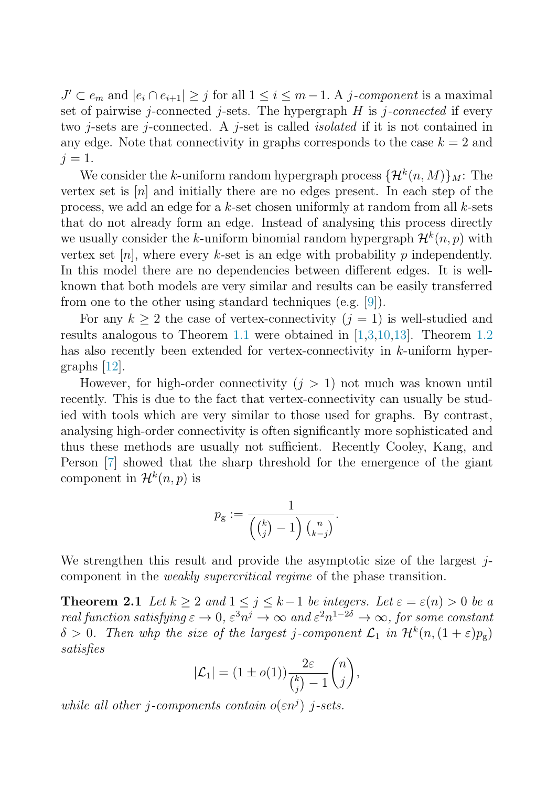<span id="page-2-0"></span> $J' \subset e_m$  and  $|e_i \cap e_{i+1}| \ge j$  for all  $1 \le i \le m-1$ . A j-component is a maximal set of pairwise  $j$ -connected  $j$ -sets. The hypergraph  $H$  is  $j$ -connected if every two j-sets are j-connected. A j-set is called *isolated* if it is not contained in any edge. Note that connectivity in graphs corresponds to the case  $k = 2$  and  $i = 1$ .

We consider the k-uniform random hypergraph process  $\{\mathcal{H}^k(n, M)\}_M$ : The vertex set is [n] and initially there are no edges present. In each step of the process, we add an edge for a  $k$ -set chosen uniformly at random from all  $k$ -sets that do not already form an edge. Instead of analysing this process directly we usually consider the k-uniform binomial random hypergraph  $\mathcal{H}^k(n, p)$  with vertex set  $[n]$ , where every k-set is an edge with probability p independently. In this model there are no dependencies between different edges. It is wellknown that both models are very similar and results can be easily transferred from one to the other using standard techniques (e.g. [\[9\]](#page-6-0)).

For any  $k \geq 2$  the case of vertex-connectivity  $(j = 1)$  is well-studied and results analogous to Theorem [1.1](#page-1-0) were obtained in [\[1,3,](#page-5-0)[10,13\]](#page-6-0). Theorem [1.2](#page-1-0) has also recently been extended for vertex-connectivity in k-uniform hypergraphs [\[12\]](#page-6-0).

However, for high-order connectivity  $(j > 1)$  not much was known until recently. This is due to the fact that vertex-connectivity can usually be studied with tools which are very similar to those used for graphs. By contrast, analysing high-order connectivity is often significantly more sophisticated and thus these methods are usually not sufficient. Recently Cooley, Kang, and Person [\[7\]](#page-6-0) showed that the sharp threshold for the emergence of the giant component in  $\mathcal{H}^k(n,p)$  is

$$
p_{g} := \frac{1}{\left(\binom{k}{j}-1\right)\binom{n}{k-j}}.
$$

We strengthen this result and provide the asymptotic size of the largest  $j$ component in the weakly supercritical regime of the phase transition.

**Theorem 2.1** Let  $k \geq 2$  and  $1 \leq j \leq k-1$  be integers. Let  $\varepsilon = \varepsilon(n) > 0$  be a real function satisfying  $\varepsilon \to 0$ ,  $\varepsilon^3 n^j \to \infty$  and  $\varepsilon^2 n^{1-2\delta} \to \infty$ , for some constant  $\delta > 0$ . Then whp the size of the largest j-component  $\mathcal{L}_1$  in  $\mathcal{H}^k(n,(1+\varepsilon)p_{\rm g})$ satisfies

$$
|\mathcal{L}_1| = (1 \pm o(1)) \frac{2\varepsilon}{\binom{k}{j} - 1} \binom{n}{j},
$$

while all other j-components contain  $o(\varepsilon n^j)$  j-sets.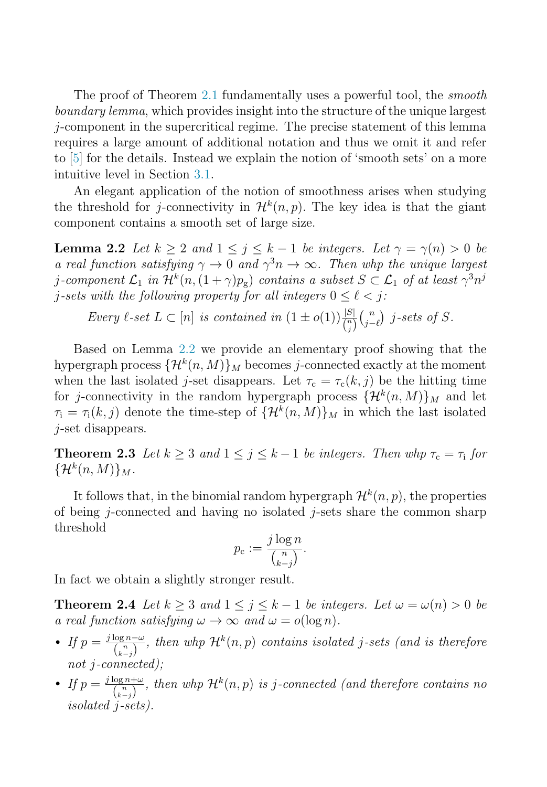<span id="page-3-0"></span>The proof of Theorem [2.1](#page-2-0) fundamentally uses a powerful tool, the smooth boundary lemma, which provides insight into the structure of the unique largest j-component in the supercritical regime. The precise statement of this lemma requires a large amount of additional notation and thus we omit it and refer to [\[5\]](#page-6-0) for the details. Instead we explain the notion of 'smooth sets' on a more intuitive level in Section [3.1.](#page-4-0)

An elegant application of the notion of smoothness arises when studying the threshold for j-connectivity in  $\mathcal{H}^k(n,p)$ . The key idea is that the giant component contains a smooth set of large size.

**Lemma 2.2** Let  $k \geq 2$  and  $1 \leq j \leq k-1$  be integers. Let  $\gamma = \gamma(n) > 0$  be a real function satisfying  $\gamma \to 0$  and  $\gamma^3 n \to \infty$ . Then whp the unique largest j-component  $\mathcal{L}_1$  in  $\mathcal{H}^k(n,(1+\gamma)p_{\mathbf{g}})$  contains a subset  $S \subset \mathcal{L}_1$  of at least  $\gamma^3 n^j$ j-sets with the following property for all integers  $0 \leq \ell \leq j$ :

Every 
$$
\ell
$$
-set  $L \subset [n]$  is contained in  $(1 \pm o(1)) \frac{|S|}{\binom{n}{j}} \binom{n}{j-\ell}$  j-sets of S.

Based on Lemma 2.2 we provide an elementary proof showing that the hypergraph process  $\{\mathcal{H}^k(n, M)\}\$ <sub>M</sub> becomes *j*-connected exactly at the moment when the last isolated j-set disappears. Let  $\tau_c = \tau_c(k, j)$  be the hitting time for j-connectivity in the random hypergraph process  $\{\mathcal{H}^k(n, M)\}_M$  and let  $\tau_i = \tau_i(k, j)$  denote the time-step of  $\{\mathcal{H}^k(n, M)\}\$ <sub>M</sub> in which the last isolated j-set disappears.

**Theorem 2.3** Let  $k \geq 3$  and  $1 \leq j \leq k-1$  be integers. Then whp  $\tau_c = \tau_i$  for  $\{\mathcal{H}^k(n,M)\}_M$ .

It follows that, in the binomial random hypergraph  $\mathcal{H}^k(n, p)$ , the properties of being  $j$ -connected and having no isolated  $j$ -sets share the common sharp threshold

$$
p_{\rm c} := \frac{j \log n}{\binom{n}{k-j}}.
$$

In fact we obtain a slightly stronger result.

**Theorem 2.4** Let  $k \geq 3$  and  $1 \leq j \leq k-1$  be integers. Let  $\omega = \omega(n) > 0$  be a real function satisfying  $\omega \to \infty$  and  $\omega = o(\log n)$ .

- If  $p = \frac{j \log n \omega}{\binom{n}{k-j}}$ , then whp  $\mathcal{H}^k(n, p)$  contains isolated j-sets (and is therefore not j-connected);
- If  $p = \frac{j \log n + \omega}{\binom{n}{k-j}}$ , then whp  $\mathcal{H}^k(n, p)$  is j-connected (and therefore contains no isolated j-sets).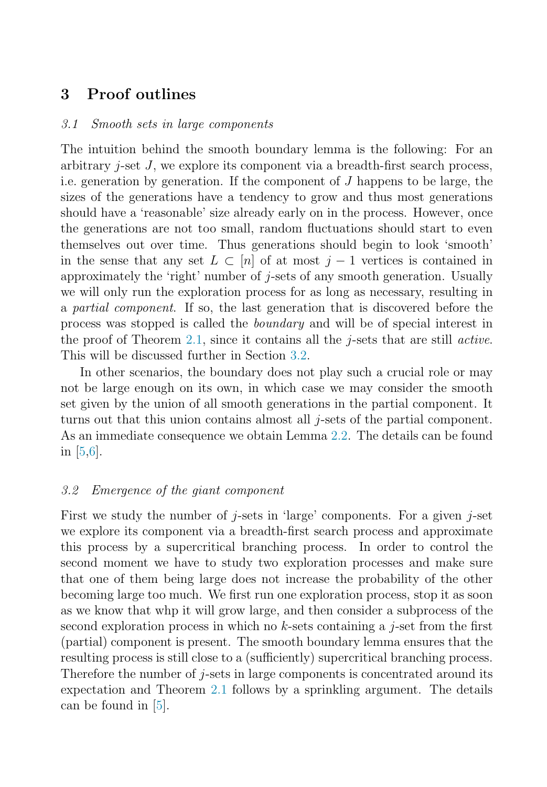# <span id="page-4-0"></span>**3 Proof outlines**

#### 3.1 Smooth sets in large components

The intuition behind the smooth boundary lemma is the following: For an arbitrary  $i$ -set  $J$ , we explore its component via a breadth-first search process, i.e. generation by generation. If the component of  $J$  happens to be large, the sizes of the generations have a tendency to grow and thus most generations should have a 'reasonable' size already early on in the process. However, once the generations are not too small, random fluctuations should start to even themselves out over time. Thus generations should begin to look 'smooth' in the sense that any set  $L \subset [n]$  of at most  $j-1$  vertices is contained in approximately the 'right' number of j-sets of any smooth generation. Usually we will only run the exploration process for as long as necessary, resulting in a partial component. If so, the last generation that is discovered before the process was stopped is called the boundary and will be of special interest in the proof of Theorem [2.1,](#page-2-0) since it contains all the  $j$ -sets that are still *active*. This will be discussed further in Section 3.2.

In other scenarios, the boundary does not play such a crucial role or may not be large enough on its own, in which case we may consider the smooth set given by the union of all smooth generations in the partial component. It turns out that this union contains almost all j-sets of the partial component. As an immediate consequence we obtain Lemma [2.2.](#page-3-0) The details can be found in [\[5,6\]](#page-6-0).

### 3.2 Emergence of the giant component

First we study the number of *j*-sets in 'large' components. For a given *j*-set we explore its component via a breadth-first search process and approximate this process by a supercritical branching process. In order to control the second moment we have to study two exploration processes and make sure that one of them being large does not increase the probability of the other becoming large too much. We first run one exploration process, stop it as soon as we know that whp it will grow large, and then consider a subprocess of the second exploration process in which no  $k$ -sets containing a j-set from the first (partial) component is present. The smooth boundary lemma ensures that the resulting process is still close to a (sufficiently) supercritical branching process. Therefore the number of  $j$ -sets in large components is concentrated around its expectation and Theorem [2.1](#page-2-0) follows by a sprinkling argument. The details can be found in [\[5\]](#page-6-0).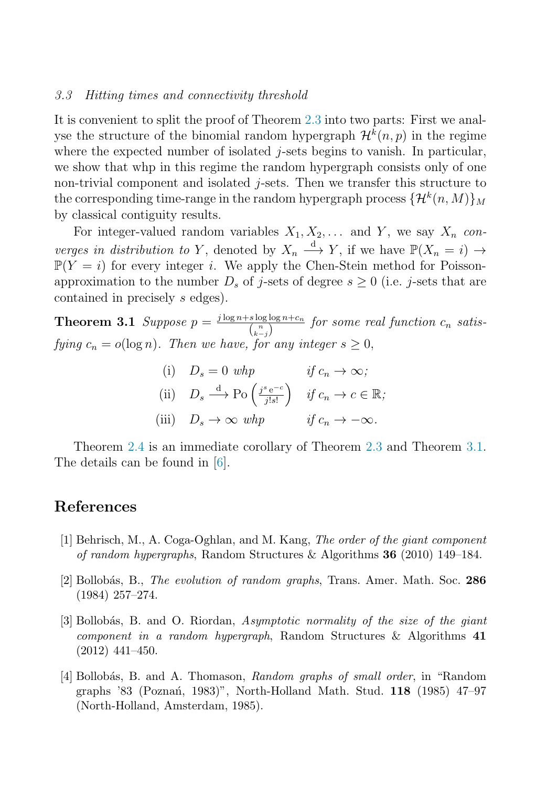#### <span id="page-5-0"></span>3.3 Hitting times and connectivity threshold

It is convenient to split the proof of Theorem [2.3](#page-3-0) into two parts: First we analyse the structure of the binomial random hypergraph  $\mathcal{H}^k(n, p)$  in the regime where the expected number of isolated  $j$ -sets begins to vanish. In particular, we show that whp in this regime the random hypergraph consists only of one non-trivial component and isolated  $j$ -sets. Then we transfer this structure to the corresponding time-range in the random hypergraph process  $\{\mathcal{H}^k(n, M)\}_M$ by classical contiguity results.

For integer-valued random variables  $X_1, X_2, \ldots$  and Y, we say  $X_n$  converges in distribution to Y, denoted by  $X_n \xrightarrow{d} Y$ , if we have  $\mathbb{P}(X_n = i) \to$  $\mathbb{P}(Y = i)$  for every integer i. We apply the Chen-Stein method for Poissonapproximation to the number  $D_s$  of j-sets of degree  $s \geq 0$  (i.e. j-sets that are contained in precisely s edges).

**Theorem 3.1** Suppose  $p = \frac{j \log n + s \log \log n + c_n}{\binom{n}{k-j}}$  for some real function  $c_n$  satisfying  $c_n = o(\log n)$ . Then we have, for any integer  $s \geq 0$ ,

(i) 
$$
D_s = 0
$$
 whp   
\n(ii)  $D_s \xrightarrow{d} \text{Po} \left( \frac{j^s e^{-c}}{j! s!} \right)$  if  $c_n \to c \in \mathbb{R}$ ;  
\n(iii)  $D_s \to \infty$  whp   
\nif  $c_n \to -\infty$ .

Theorem [2.4](#page-3-0) is an immediate corollary of Theorem [2.3](#page-3-0) and Theorem 3.1. The details can be found in [\[6\]](#page-6-0).

## **References**

- [1] Behrisch, M., A. Coga-Oghlan, and M. Kang, The order of the giant component of random hypergraphs, Random Structures & Algorithms **36** (2010) 149–184.
- [2] Bollob´as, B., The evolution of random graphs, Trans. Amer. Math. Soc. **286** (1984) 257–274.
- [3] Bollobás, B. and O. Riordan, Asymptotic normality of the size of the giant component in a random hypergraph, Random Structures & Algorithms **41** (2012) 441–450.
- [4] Bollobás, B. and A. Thomason, Random graphs of small order, in "Random graphs '83 (Pozna´n, 1983)", North-Holland Math. Stud. **118** (1985) 47–97 (North-Holland, Amsterdam, 1985).